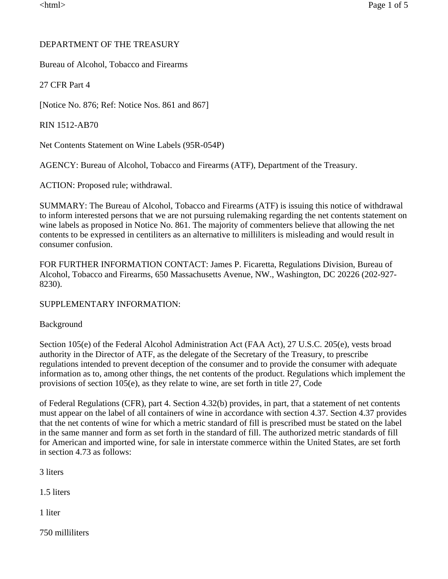## DEPARTMENT OF THE TREASURY

Bureau of Alcohol, Tobacco and Firearms

27 CFR Part 4

[Notice No. 876; Ref: Notice Nos. 861 and 867]

RIN 1512-AB70

Net Contents Statement on Wine Labels (95R-054P)

AGENCY: Bureau of Alcohol, Tobacco and Firearms (ATF), Department of the Treasury.

ACTION: Proposed rule; withdrawal.

SUMMARY: The Bureau of Alcohol, Tobacco and Firearms (ATF) is issuing this notice of withdrawal to inform interested persons that we are not pursuing rulemaking regarding the net contents statement on wine labels as proposed in Notice No. 861. The majority of commenters believe that allowing the net contents to be expressed in centiliters as an alternative to milliliters is misleading and would result in consumer confusion.

FOR FURTHER INFORMATION CONTACT: James P. Ficaretta, Regulations Division, Bureau of Alcohol, Tobacco and Firearms, 650 Massachusetts Avenue, NW., Washington, DC 20226 (202-927- 8230).

SUPPLEMENTARY INFORMATION:

## Background

Section 105(e) of the Federal Alcohol Administration Act (FAA Act), 27 U.S.C. 205(e), vests broad authority in the Director of ATF, as the delegate of the Secretary of the Treasury, to prescribe regulations intended to prevent deception of the consumer and to provide the consumer with adequate information as to, among other things, the net contents of the product. Regulations which implement the provisions of section 105(e), as they relate to wine, are set forth in title 27, Code

of Federal Regulations (CFR), part 4. Section 4.32(b) provides, in part, that a statement of net contents must appear on the label of all containers of wine in accordance with section 4.37. Section 4.37 provides that the net contents of wine for which a metric standard of fill is prescribed must be stated on the label in the same manner and form as set forth in the standard of fill. The authorized metric standards of fill for American and imported wine, for sale in interstate commerce within the United States, are set forth in section 4.73 as follows:

3 liters

1.5 liters

1 liter

750 milliliters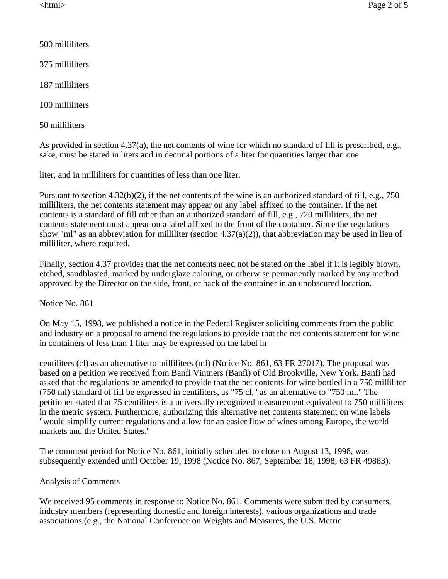- 500 milliliters
- 375 milliliters
- 187 milliliters
- 100 milliliters
- 50 milliliters

As provided in section 4.37(a), the net contents of wine for which no standard of fill is prescribed, e.g., sake, must be stated in liters and in decimal portions of a liter for quantities larger than one

liter, and in milliliters for quantities of less than one liter.

Pursuant to section 4.32(b)(2), if the net contents of the wine is an authorized standard of fill, e.g., 750 milliliters, the net contents statement may appear on any label affixed to the container. If the net contents is a standard of fill other than an authorized standard of fill, e.g., 720 milliliters, the net contents statement must appear on a label affixed to the front of the container. Since the regulations show "ml" as an abbreviation for milliliter (section 4.37(a)(2)), that abbreviation may be used in lieu of milliliter, where required.

Finally, section 4.37 provides that the net contents need not be stated on the label if it is legibly blown, etched, sandblasted, marked by underglaze coloring, or otherwise permanently marked by any method approved by the Director on the side, front, or back of the container in an unobscured location.

Notice No. 861

On May 15, 1998, we published a notice in the Federal Register soliciting comments from the public and industry on a proposal to amend the regulations to provide that the net contents statement for wine in containers of less than 1 liter may be expressed on the label in

centiliters (cl) as an alternative to milliliters (ml) (Notice No. 861, 63 FR 27017). The proposal was based on a petition we received from Banfi Vintners (Banfi) of Old Brookville, New York. Banfi had asked that the regulations be amended to provide that the net contents for wine bottled in a 750 milliliter (750 ml) standard of fill be expressed in centiliters, as "75 cl," as an alternative to "750 ml." The petitioner stated that 75 centiliters is a universally recognized measurement equivalent to 750 milliliters in the metric system. Furthermore, authorizing this alternative net contents statement on wine labels "would simplify current regulations and allow for an easier flow of wines among Europe, the world markets and the United States."

The comment period for Notice No. 861, initially scheduled to close on August 13, 1998, was subsequently extended until October 19, 1998 (Notice No. 867, September 18, 1998; 63 FR 49883).

## Analysis of Comments

We received 95 comments in response to Notice No. 861. Comments were submitted by consumers, industry members (representing domestic and foreign interests), various organizations and trade associations (e.g., the National Conference on Weights and Measures, the U.S. Metric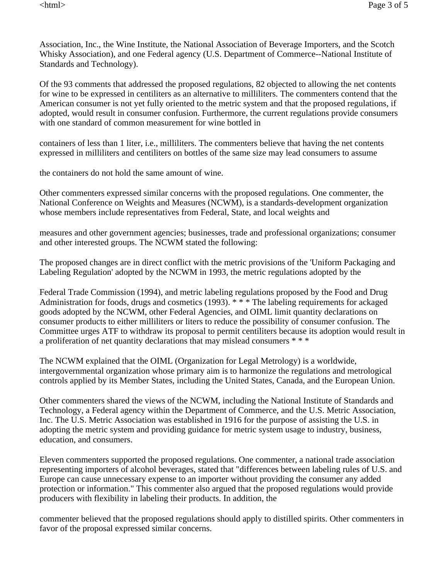Association, Inc., the Wine Institute, the National Association of Beverage Importers, and the Scotch Whisky Association), and one Federal agency (U.S. Department of Commerce--National Institute of Standards and Technology).

Of the 93 comments that addressed the proposed regulations, 82 objected to allowing the net contents for wine to be expressed in centiliters as an alternative to milliliters. The commenters contend that the American consumer is not yet fully oriented to the metric system and that the proposed regulations, if adopted, would result in consumer confusion. Furthermore, the current regulations provide consumers with one standard of common measurement for wine bottled in

containers of less than 1 liter, i.e., milliliters. The commenters believe that having the net contents expressed in milliliters and centiliters on bottles of the same size may lead consumers to assume

the containers do not hold the same amount of wine.

Other commenters expressed similar concerns with the proposed regulations. One commenter, the National Conference on Weights and Measures (NCWM), is a standards-development organization whose members include representatives from Federal, State, and local weights and

measures and other government agencies; businesses, trade and professional organizations; consumer and other interested groups. The NCWM stated the following:

The proposed changes are in direct conflict with the metric provisions of the 'Uniform Packaging and Labeling Regulation' adopted by the NCWM in 1993, the metric regulations adopted by the

Federal Trade Commission (1994), and metric labeling regulations proposed by the Food and Drug Administration for foods, drugs and cosmetics (1993). \* \* \* The labeling requirements for ackaged goods adopted by the NCWM, other Federal Agencies, and OIML limit quantity declarations on consumer products to either milliliters or liters to reduce the possibility of consumer confusion. The Committee urges ATF to withdraw its proposal to permit centiliters because its adoption would result in a proliferation of net quantity declarations that may mislead consumers \* \* \*

The NCWM explained that the OIML (Organization for Legal Metrology) is a worldwide, intergovernmental organization whose primary aim is to harmonize the regulations and metrological controls applied by its Member States, including the United States, Canada, and the European Union.

Other commenters shared the views of the NCWM, including the National Institute of Standards and Technology, a Federal agency within the Department of Commerce, and the U.S. Metric Association, Inc. The U.S. Metric Association was established in 1916 for the purpose of assisting the U.S. in adopting the metric system and providing guidance for metric system usage to industry, business, education, and consumers.

Eleven commenters supported the proposed regulations. One commenter, a national trade association representing importers of alcohol beverages, stated that "differences between labeling rules of U.S. and Europe can cause unnecessary expense to an importer without providing the consumer any added protection or information." This commenter also argued that the proposed regulations would provide producers with flexibility in labeling their products. In addition, the

commenter believed that the proposed regulations should apply to distilled spirits. Other commenters in favor of the proposal expressed similar concerns.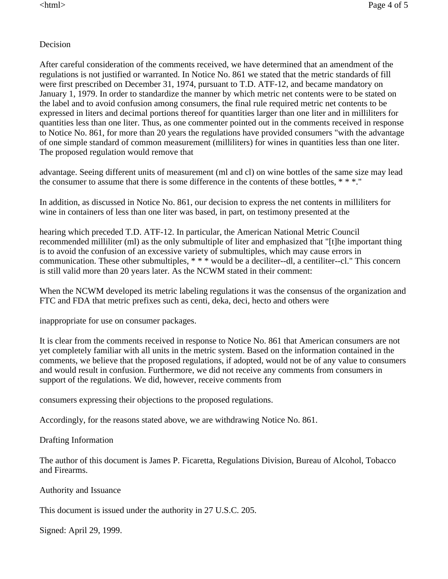## Decision

After careful consideration of the comments received, we have determined that an amendment of the regulations is not justified or warranted. In Notice No. 861 we stated that the metric standards of fill were first prescribed on December 31, 1974, pursuant to T.D. ATF-12, and became mandatory on January 1, 1979. In order to standardize the manner by which metric net contents were to be stated on the label and to avoid confusion among consumers, the final rule required metric net contents to be expressed in liters and decimal portions thereof for quantities larger than one liter and in milliliters for quantities less than one liter. Thus, as one commenter pointed out in the comments received in response to Notice No. 861, for more than 20 years the regulations have provided consumers "with the advantage of one simple standard of common measurement (milliliters) for wines in quantities less than one liter. The proposed regulation would remove that

advantage. Seeing different units of measurement (ml and cl) on wine bottles of the same size may lead the consumer to assume that there is some difference in the contents of these bottles, \* \* \*."

In addition, as discussed in Notice No. 861, our decision to express the net contents in milliliters for wine in containers of less than one liter was based, in part, on testimony presented at the

hearing which preceded T.D. ATF-12. In particular, the American National Metric Council recommended milliliter (ml) as the only submultiple of liter and emphasized that "[t]he important thing is to avoid the confusion of an excessive variety of submultiples, which may cause errors in communication. These other submultiples, \* \* \* would be a deciliter--dl, a centiliter--cl." This concern is still valid more than 20 years later. As the NCWM stated in their comment:

When the NCWM developed its metric labeling regulations it was the consensus of the organization and FTC and FDA that metric prefixes such as centi, deka, deci, hecto and others were

inappropriate for use on consumer packages.

It is clear from the comments received in response to Notice No. 861 that American consumers are not yet completely familiar with all units in the metric system. Based on the information contained in the comments, we believe that the proposed regulations, if adopted, would not be of any value to consumers and would result in confusion. Furthermore, we did not receive any comments from consumers in support of the regulations. We did, however, receive comments from

consumers expressing their objections to the proposed regulations.

Accordingly, for the reasons stated above, we are withdrawing Notice No. 861.

Drafting Information

The author of this document is James P. Ficaretta, Regulations Division, Bureau of Alcohol, Tobacco and Firearms.

Authority and Issuance

This document is issued under the authority in 27 U.S.C. 205.

Signed: April 29, 1999.